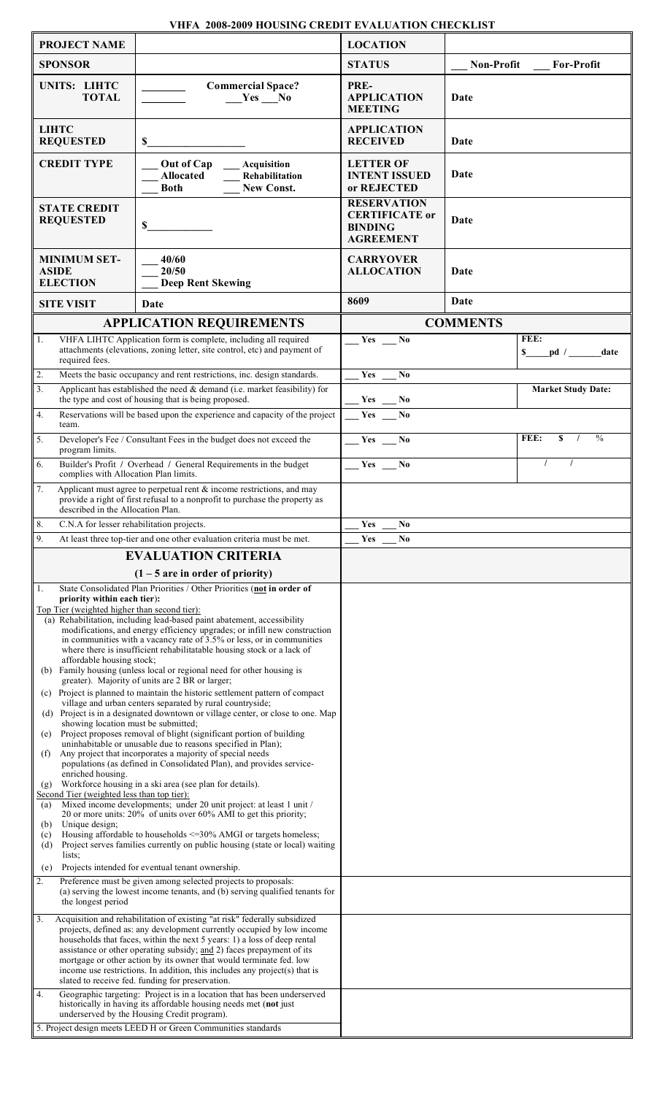| <b>PROJECT NAME</b>                                                                                                                                                                                                                                                                                                                                                                                                                                                                                                                                                                                                                                                                                               |                                                                                                                                                         | <b>LOCATION</b>                                          |                       |                   |                               |
|-------------------------------------------------------------------------------------------------------------------------------------------------------------------------------------------------------------------------------------------------------------------------------------------------------------------------------------------------------------------------------------------------------------------------------------------------------------------------------------------------------------------------------------------------------------------------------------------------------------------------------------------------------------------------------------------------------------------|---------------------------------------------------------------------------------------------------------------------------------------------------------|----------------------------------------------------------|-----------------------|-------------------|-------------------------------|
| <b>SPONSOR</b>                                                                                                                                                                                                                                                                                                                                                                                                                                                                                                                                                                                                                                                                                                    |                                                                                                                                                         | <b>STATUS</b>                                            |                       | <b>Non-Profit</b> | <b>For-Profit</b>             |
| UNITS: LIHTC<br><b>TOTAL</b>                                                                                                                                                                                                                                                                                                                                                                                                                                                                                                                                                                                                                                                                                      | <b>Commercial Space?</b><br>$Yes$ No                                                                                                                    | PRE-<br><b>APPLICATION</b><br><b>MEETING</b>             |                       | Date              |                               |
| <b>LIHTC</b><br><b>REQUESTED</b>                                                                                                                                                                                                                                                                                                                                                                                                                                                                                                                                                                                                                                                                                  | \$                                                                                                                                                      | <b>APPLICATION</b><br><b>RECEIVED</b>                    |                       | Date              |                               |
| <b>CREDIT TYPE</b>                                                                                                                                                                                                                                                                                                                                                                                                                                                                                                                                                                                                                                                                                                | Out of Cap<br>Acquisition<br><b>Allocated</b><br>Rehabilitation<br><b>New Const.</b><br><b>Both</b>                                                     | <b>LETTER OF</b><br>or REJECTED                          | <b>INTENT ISSUED</b>  | Date              |                               |
| <b>STATE CREDIT</b><br><b>REQUESTED</b>                                                                                                                                                                                                                                                                                                                                                                                                                                                                                                                                                                                                                                                                           | \$                                                                                                                                                      | <b>RESERVATION</b><br><b>BINDING</b><br><b>AGREEMENT</b> | <b>CERTIFICATE</b> or | Date              |                               |
| <b>MINIMUM SET-</b><br><b>ASIDE</b><br><b>ELECTION</b>                                                                                                                                                                                                                                                                                                                                                                                                                                                                                                                                                                                                                                                            | 40/60<br>20/50<br><b>Deep Rent Skewing</b>                                                                                                              | <b>CARRYOVER</b><br><b>ALLOCATION</b>                    |                       | Date              |                               |
| <b>SITE VISIT</b>                                                                                                                                                                                                                                                                                                                                                                                                                                                                                                                                                                                                                                                                                                 | Date                                                                                                                                                    | 8609                                                     |                       | Date              |                               |
|                                                                                                                                                                                                                                                                                                                                                                                                                                                                                                                                                                                                                                                                                                                   | <b>APPLICATION REQUIREMENTS</b>                                                                                                                         | <b>COMMENTS</b>                                          |                       |                   |                               |
| VHFA LIHTC Application form is complete, including all required<br>1.<br>attachments (elevations, zoning letter, site control, etc) and payment of<br>required fees.                                                                                                                                                                                                                                                                                                                                                                                                                                                                                                                                              |                                                                                                                                                         | $\mathbf{Yes} \quad \mathbf{No}$                         |                       |                   | FEE:<br>$\simeq$ pd /<br>date |
| $\overline{2}$ .<br>3.                                                                                                                                                                                                                                                                                                                                                                                                                                                                                                                                                                                                                                                                                            | Meets the basic occupancy and rent restrictions, inc. design standards.<br>Applicant has established the need $\&$ demand (i.e. market feasibility) for | Yes                                                      | No                    |                   | <b>Market Study Date:</b>     |
| the type and cost of housing that is being proposed.<br>Reservations will be based upon the experience and capacity of the project<br>4.<br>team.                                                                                                                                                                                                                                                                                                                                                                                                                                                                                                                                                                 |                                                                                                                                                         | $Yes$ No<br>$Yes \_ No$                                  |                       |                   |                               |
| Developer's Fee / Consultant Fees in the budget does not exceed the<br>5.<br>program limits.                                                                                                                                                                                                                                                                                                                                                                                                                                                                                                                                                                                                                      |                                                                                                                                                         |                                                          | $Yes \_ No$           |                   | $\frac{0}{0}$<br>FEE:<br>S    |
| 6.<br>Builder's Profit / Overhead / General Requirements in the budget<br>complies with Allocation Plan limits.                                                                                                                                                                                                                                                                                                                                                                                                                                                                                                                                                                                                   |                                                                                                                                                         | Yes No                                                   |                       |                   |                               |
| 7.<br>Applicant must agree to perpetual rent $\&$ income restrictions, and may<br>provide a right of first refusal to a nonprofit to purchase the property as<br>described in the Allocation Plan.                                                                                                                                                                                                                                                                                                                                                                                                                                                                                                                |                                                                                                                                                         |                                                          |                       |                   |                               |
| $\overline{8}$ .<br>C.N.A for lesser rehabilitation projects.                                                                                                                                                                                                                                                                                                                                                                                                                                                                                                                                                                                                                                                     |                                                                                                                                                         | Yes                                                      | N <sub>o</sub>        |                   |                               |
| 9.                                                                                                                                                                                                                                                                                                                                                                                                                                                                                                                                                                                                                                                                                                                | At least three top-tier and one other evaluation criteria must be met.                                                                                  | Yes                                                      | No                    |                   |                               |
| <b>EVALUATION CRITERIA</b>                                                                                                                                                                                                                                                                                                                                                                                                                                                                                                                                                                                                                                                                                        |                                                                                                                                                         |                                                          |                       |                   |                               |
| $(1 - 5$ are in order of priority)                                                                                                                                                                                                                                                                                                                                                                                                                                                                                                                                                                                                                                                                                |                                                                                                                                                         |                                                          |                       |                   |                               |
| 1.<br>State Consolidated Plan Priorities / Other Priorities (not in order of<br>priority within each tier):<br>Top Tier (weighted higher than second tier):<br>(a) Rehabilitation, including lead-based paint abatement, accessibility<br>modifications, and energy efficiency upgrades; or infill new construction<br>in communities with a vacancy rate of 3.5% or less, or in communities<br>where there is insufficient rehabilitatable housing stock or a lack of<br>affordable housing stock;<br>(b) Family housing (unless local or regional need for other housing is<br>greater). Majority of units are 2 BR or larger;<br>(c) Project is planned to maintain the historic settlement pattern of compact |                                                                                                                                                         |                                                          |                       |                   |                               |
| village and urban centers separated by rural countryside;<br>(d) Project is in a designated downtown or village center, or close to one. Map<br>showing location must be submitted;                                                                                                                                                                                                                                                                                                                                                                                                                                                                                                                               |                                                                                                                                                         |                                                          |                       |                   |                               |
| Project proposes removal of blight (significant portion of building<br>(e)<br>uninhabitable or unusable due to reasons specified in Plan);<br>Any project that incorporates a majority of special needs<br>(f)<br>populations (as defined in Consolidated Plan), and provides service-                                                                                                                                                                                                                                                                                                                                                                                                                            |                                                                                                                                                         |                                                          |                       |                   |                               |
| enriched housing.<br>Workforce housing in a ski area (see plan for details).<br>(g)<br>Second Tier (weighted less than top tier):<br>Mixed income developments; under 20 unit project: at least 1 unit /<br>(a)                                                                                                                                                                                                                                                                                                                                                                                                                                                                                                   |                                                                                                                                                         |                                                          |                       |                   |                               |
| 20 or more units: 20% of units over 60% AMI to get this priority;<br>Unique design;<br>(b)<br>Housing affordable to households <= 30% AMGI or targets homeless;<br>(c)                                                                                                                                                                                                                                                                                                                                                                                                                                                                                                                                            |                                                                                                                                                         |                                                          |                       |                   |                               |
| Project serves families currently on public housing (state or local) waiting<br>(d)<br>lists:<br>Projects intended for eventual tenant ownership.                                                                                                                                                                                                                                                                                                                                                                                                                                                                                                                                                                 |                                                                                                                                                         |                                                          |                       |                   |                               |
| (e)<br>Preference must be given among selected projects to proposals:<br>2.<br>(a) serving the lowest income tenants, and (b) serving qualified tenants for<br>the longest period                                                                                                                                                                                                                                                                                                                                                                                                                                                                                                                                 |                                                                                                                                                         |                                                          |                       |                   |                               |
| $\overline{3}$ .<br>Acquisition and rehabilitation of existing "at risk" federally subsidized<br>projects, defined as: any development currently occupied by low income<br>households that faces, within the next 5 years: 1) a loss of deep rental<br>assistance or other operating subsidy; and 2) faces prepayment of its<br>mortgage or other action by its owner that would terminate fed. low<br>income use restrictions. In addition, this includes any project(s) that is<br>slated to receive fed. funding for preservation.                                                                                                                                                                             |                                                                                                                                                         |                                                          |                       |                   |                               |
| Geographic targeting: Project is in a location that has been underserved<br>4.<br>historically in having its affordable housing needs met (not just<br>underserved by the Housing Credit program)<br>5. Project design meets LEED H or Green Communities standards                                                                                                                                                                                                                                                                                                                                                                                                                                                |                                                                                                                                                         |                                                          |                       |                   |                               |
|                                                                                                                                                                                                                                                                                                                                                                                                                                                                                                                                                                                                                                                                                                                   |                                                                                                                                                         |                                                          |                       |                   |                               |

## **VHFA 2008-2009 HOUSING CREDIT EVALUATION CHECKLIST**